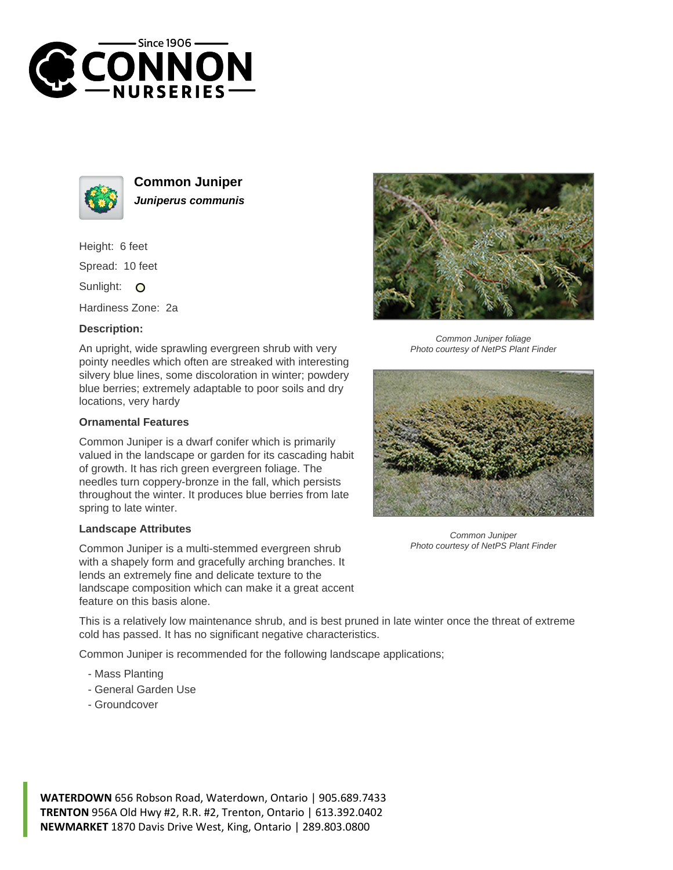



**Common Juniper Juniperus communis**

Height: 6 feet Spread: 10 feet

Sunlight: O

Hardiness Zone: 2a

## **Description:**

An upright, wide sprawling evergreen shrub with very pointy needles which often are streaked with interesting silvery blue lines, some discoloration in winter; powdery blue berries; extremely adaptable to poor soils and dry locations, very hardy

## **Ornamental Features**

Common Juniper is a dwarf conifer which is primarily valued in the landscape or garden for its cascading habit of growth. It has rich green evergreen foliage. The needles turn coppery-bronze in the fall, which persists throughout the winter. It produces blue berries from late spring to late winter.

## **Landscape Attributes**

Common Juniper is a multi-stemmed evergreen shrub with a shapely form and gracefully arching branches. It lends an extremely fine and delicate texture to the landscape composition which can make it a great accent feature on this basis alone.



Common Juniper foliage Photo courtesy of NetPS Plant Finder



Common Juniper Photo courtesy of NetPS Plant Finder

This is a relatively low maintenance shrub, and is best pruned in late winter once the threat of extreme cold has passed. It has no significant negative characteristics.

Common Juniper is recommended for the following landscape applications;

- Mass Planting
- General Garden Use
- Groundcover

**WATERDOWN** 656 Robson Road, Waterdown, Ontario | 905.689.7433 **TRENTON** 956A Old Hwy #2, R.R. #2, Trenton, Ontario | 613.392.0402 **NEWMARKET** 1870 Davis Drive West, King, Ontario | 289.803.0800